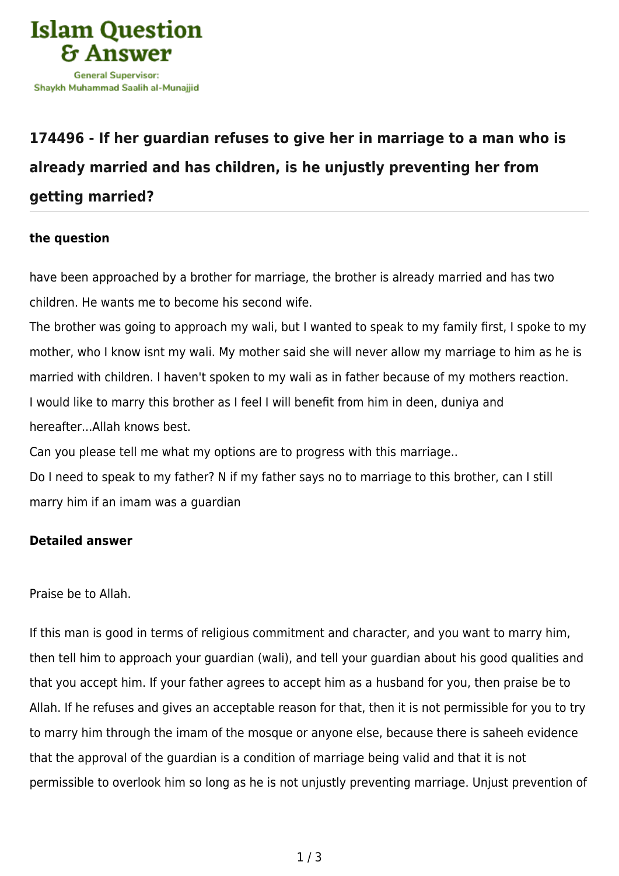

## **[174496 - If her guardian refuses to give her in marriage to a man who is](https://islamqa.com/en/answers/174496/if-her-guardian-refuses-to-give-her-in-marriage-to-a-man-who-is-already-married-and-has-children-is-he-unjustly-preventing-her-from-getting-married) [already married and has children, is he unjustly preventing her from](https://islamqa.com/en/answers/174496/if-her-guardian-refuses-to-give-her-in-marriage-to-a-man-who-is-already-married-and-has-children-is-he-unjustly-preventing-her-from-getting-married) [getting married?](https://islamqa.com/en/answers/174496/if-her-guardian-refuses-to-give-her-in-marriage-to-a-man-who-is-already-married-and-has-children-is-he-unjustly-preventing-her-from-getting-married)**

## **the question**

have been approached by a brother for marriage, the brother is already married and has two children. He wants me to become his second wife.

The brother was going to approach my wali, but I wanted to speak to my family first, I spoke to my mother, who I know isnt my wali. My mother said she will never allow my marriage to him as he is married with children. I haven't spoken to my wali as in father because of my mothers reaction. I would like to marry this brother as I feel I will benefit from him in deen, duniya and hereafter...Allah knows best.

Can you please tell me what my options are to progress with this marriage..

Do I need to speak to my father? N if my father says no to marriage to this brother, can I still marry him if an imam was a guardian

## **Detailed answer**

Praise be to Allah.

If this man is good in terms of religious commitment and character, and you want to marry him, then tell him to approach your guardian (wali), and tell your guardian about his good qualities and that you accept him. If your father agrees to accept him as a husband for you, then praise be to Allah. If he refuses and gives an acceptable reason for that, then it is not permissible for you to try to marry him through the imam of the mosque or anyone else, because there is saheeh evidence that the approval of the guardian is a condition of marriage being valid and that it is not permissible to overlook him so long as he is not unjustly preventing marriage. Unjust prevention of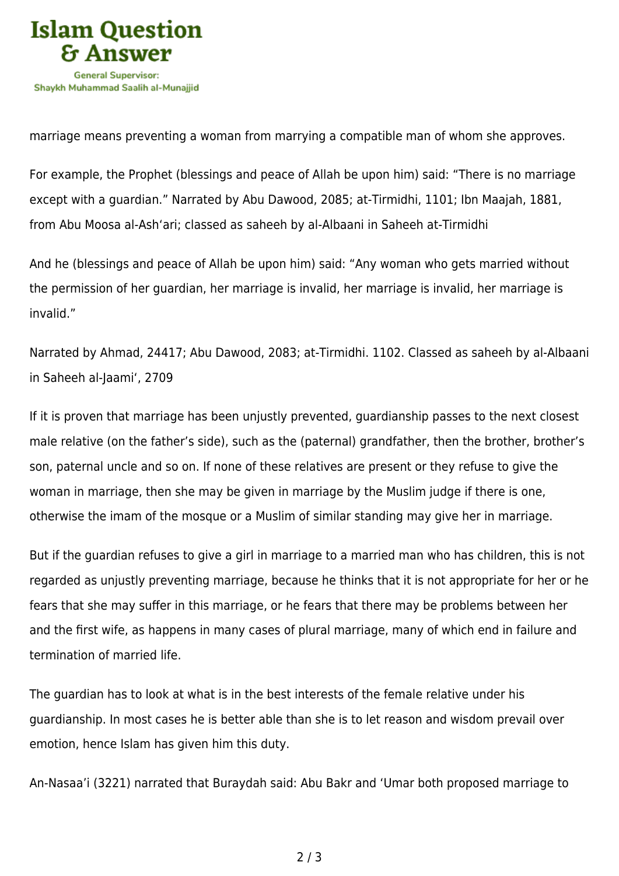

marriage means preventing a woman from marrying a compatible man of whom she approves.

For example, the Prophet (blessings and peace of Allah be upon him) said: "There is no marriage except with a guardian." Narrated by Abu Dawood, 2085; at-Tirmidhi, 1101; Ibn Maajah, 1881, from Abu Moosa al-Ash'ari; classed as saheeh by al-Albaani in Saheeh at-Tirmidhi

And he (blessings and peace of Allah be upon him) said: "Any woman who gets married without the permission of her guardian, her marriage is invalid, her marriage is invalid, her marriage is invalid."

Narrated by Ahmad, 24417; Abu Dawood, 2083; at-Tirmidhi. 1102. Classed as saheeh by al-Albaani in Saheeh al-Jaami', 2709

If it is proven that marriage has been unjustly prevented, guardianship passes to the next closest male relative (on the father's side), such as the (paternal) grandfather, then the brother, brother's son, paternal uncle and so on. If none of these relatives are present or they refuse to give the woman in marriage, then she may be given in marriage by the Muslim judge if there is one, otherwise the imam of the mosque or a Muslim of similar standing may give her in marriage.

But if the guardian refuses to give a girl in marriage to a married man who has children, this is not regarded as unjustly preventing marriage, because he thinks that it is not appropriate for her or he fears that she may suffer in this marriage, or he fears that there may be problems between her and the first wife, as happens in many cases of plural marriage, many of which end in failure and termination of married life.

The guardian has to look at what is in the best interests of the female relative under his guardianship. In most cases he is better able than she is to let reason and wisdom prevail over emotion, hence Islam has given him this duty.

An-Nasaa'i (3221) narrated that Buraydah said: Abu Bakr and 'Umar both proposed marriage to